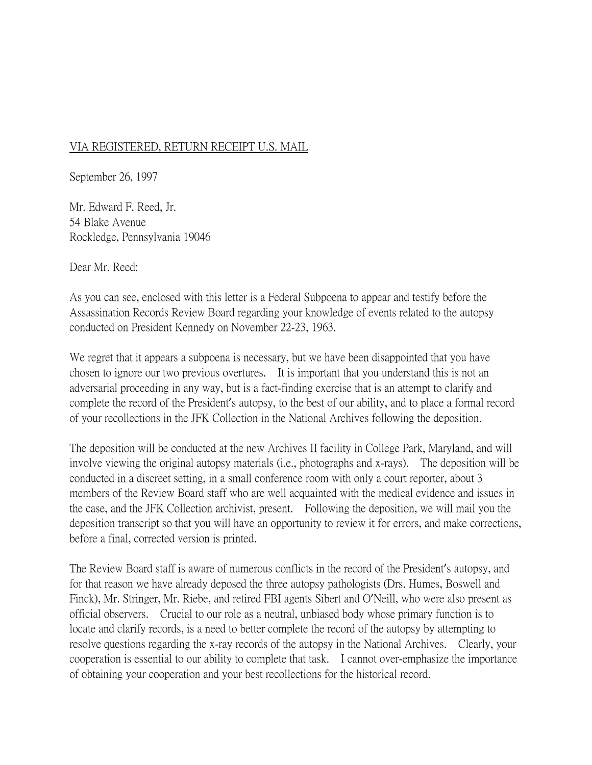## VIA REGISTERED, RETURN RECEIPT U.S. MAIL

September 26, 1997

Mr. Edward F. Reed, Jr. 54 Blake Avenue Rockledge, Pennsylvania 19046

Dear Mr. Reed:

As you can see, enclosed with this letter is a Federal Subpoena to appear and testify before the Assassination Records Review Board regarding your knowledge of events related to the autopsy conducted on President Kennedy on November 22-23, 1963.

We regret that it appears a subpoena is necessary, but we have been disappointed that you have chosen to ignore our two previous overtures. It is important that you understand this is not an adversarial proceeding in any way, but is a fact-finding exercise that is an attempt to clarify and complete the record of the President's autopsy, to the best of our ability, and to place a formal record of your recollections in the JFK Collection in the National Archives following the deposition.

The deposition will be conducted at the new Archives II facility in College Park, Maryland, and will involve viewing the original autopsy materials (i.e., photographs and x-rays). The deposition will be conducted in a discreet setting, in a small conference room with only a court reporter, about 3 members of the Review Board staff who are well acquainted with the medical evidence and issues in the case, and the JFK Collection archivist, present. Following the deposition, we will mail you the deposition transcript so that you will have an opportunity to review it for errors, and make corrections, before a final, corrected version is printed.

The Review Board staff is aware of numerous conflicts in the record of the President's autopsy, and for that reason we have already deposed the three autopsy pathologists (Drs. Humes, Boswell and Finck), Mr. Stringer, Mr. Riebe, and retired FBI agents Sibert and O'Neill, who were also present as official observers. Crucial to our role as a neutral, unbiased body whose primary function is to locate and clarify records, is a need to better complete the record of the autopsy by attempting to resolve questions regarding the x-ray records of the autopsy in the National Archives. Clearly, your cooperation is essential to our ability to complete that task. I cannot over-emphasize the importance of obtaining your cooperation and your best recollections for the historical record.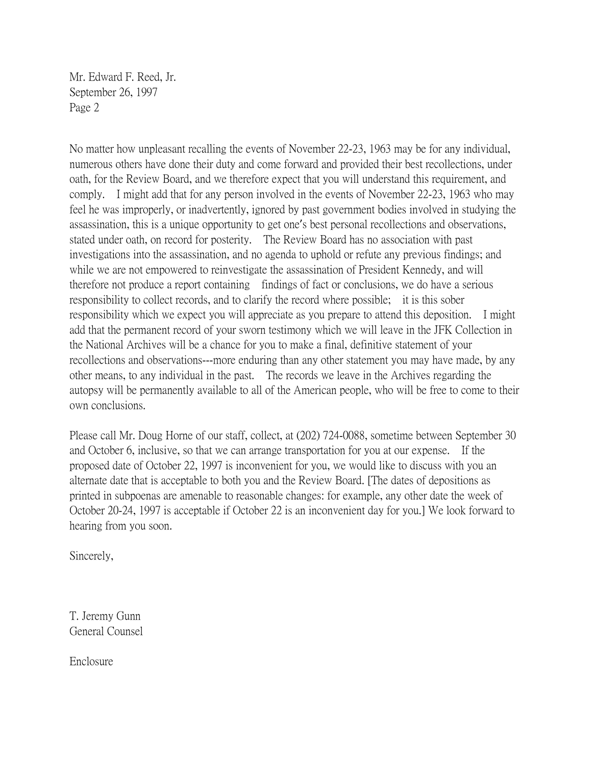Mr. Edward F. Reed, Jr. September 26, 1997 Page 2

No matter how unpleasant recalling the events of November 22-23, 1963 may be for any individual, numerous others have done their duty and come forward and provided their best recollections, under oath, for the Review Board, and we therefore expect that you will understand this requirement, and comply. I might add that for any person involved in the events of November 22-23, 1963 who may feel he was improperly, or inadvertently, ignored by past government bodies involved in studying the assassination, this is a unique opportunity to get one's best personal recollections and observations, stated under oath, on record for posterity. The Review Board has no association with past investigations into the assassination, and no agenda to uphold or refute any previous findings; and while we are not empowered to reinvestigate the assassination of President Kennedy, and will therefore not produce a report containing findings of fact or conclusions, we do have a serious responsibility to collect records, and to clarify the record where possible; it is this sober responsibility which we expect you will appreciate as you prepare to attend this deposition. I might add that the permanent record of your sworn testimony which we will leave in the JFK Collection in the National Archives will be a chance for you to make a final, definitive statement of your recollections and observations---more enduring than any other statement you may have made, by any other means, to any individual in the past. The records we leave in the Archives regarding the autopsy will be permanently available to all of the American people, who will be free to come to their own conclusions.

Please call Mr. Doug Horne of our staff, collect, at (202) 724-0088, sometime between September 30 and October 6, inclusive, so that we can arrange transportation for you at our expense. If the proposed date of October 22, 1997 is inconvenient for you, we would like to discuss with you an alternate date that is acceptable to both you and the Review Board. [The dates of depositions as printed in subpoenas are amenable to reasonable changes: for example, any other date the week of October 20-24, 1997 is acceptable if October 22 is an inconvenient day for you.] We look forward to hearing from you soon.

Sincerely,

T. Jeremy Gunn General Counsel

Enclosure